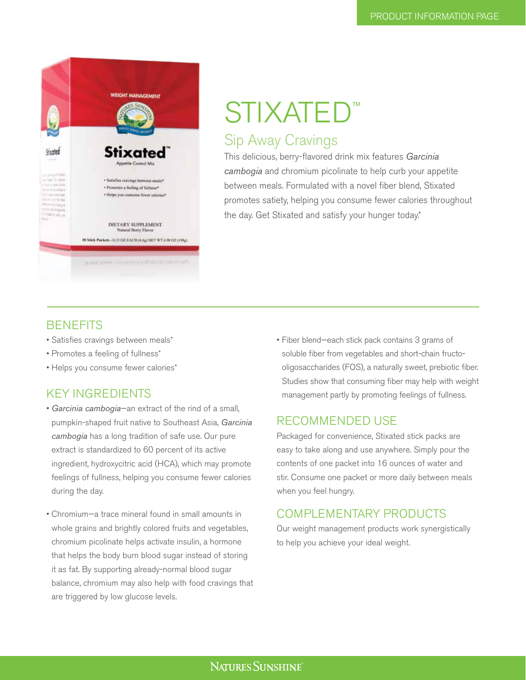

# STIXATED Sip Away Cravings

This delicious, berry-flavored drink mix features *Garcinia cambogia* and chromium picolinate to help curb your appetite between meals. Formulated with a novel fiber blend, Stixated promotes satiety, helping you consume fewer calories throughout the day. Get Stixated and satisfy your hunger today.\*

### **BENEFITS**

- Satisfies cravings between meals\*
- Promotes a feeling of fullness\*
- Helps you consume fewer calories\*

### Key Ingredients

- *Garcinia cambogia*—an extract of the rind of a small, pumpkin-shaped fruit native to Southeast Asia, *Garcinia cambogia* has a long tradition of safe use. Our pure extract is standardized to 60 percent of its active ingredient, hydroxycitric acid (HCA), which may promote feelings of fullness, helping you consume fewer calories during the day.
- Chromium—a trace mineral found in small amounts in whole grains and brightly colored fruits and vegetables, chromium picolinate helps activate insulin, a hormone that helps the body burn blood sugar instead of storing it as fat. By supporting already-normal blood sugar balance, chromium may also help with food cravings that are triggered by low glucose levels.

• Fiber blend—each stick pack contains 3 grams of soluble fiber from vegetables and short-chain fructooligosaccharides (FOS), a naturally sweet, prebiotic fiber. Studies show that consuming fiber may help with weight management partly by promoting feelings of fullness.

### Recommended Use

Packaged for convenience, Stixated stick packs are easy to take along and use anywhere. Simply pour the contents of one packet into 16 ounces of water and stir. Consume one packet or more daily between meals when you feel hungry.

### Complementary Products

Our weight management products work synergistically to help you achieve your ideal weight.